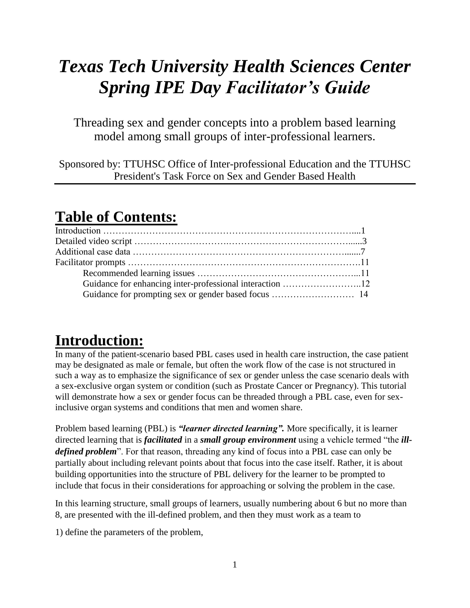# *Texas Tech University Health Sciences Center Spring IPE Day Facilitator's Guide*

Threading sex and gender concepts into a problem based learning model among small groups of inter-professional learners.

Sponsored by: TTUHSC Office of Inter-professional Education and the TTUHSC President's Task Force on Sex and Gender Based Health

# **Table of Contents:**

# **Introduction:**

In many of the patient-scenario based PBL cases used in health care instruction, the case patient may be designated as male or female, but often the work flow of the case is not structured in such a way as to emphasize the significance of sex or gender unless the case scenario deals with a sex-exclusive organ system or condition (such as Prostate Cancer or Pregnancy). This tutorial will demonstrate how a sex or gender focus can be threaded through a PBL case, even for sexinclusive organ systems and conditions that men and women share.

Problem based learning (PBL) is *"learner directed learning".* More specifically, it is learner directed learning that is *facilitated* in a *small group environment* using a vehicle termed "the *illdefined problem*". For that reason, threading any kind of focus into a PBL case can only be partially about including relevant points about that focus into the case itself. Rather, it is about building opportunities into the structure of PBL delivery for the learner to be prompted to include that focus in their considerations for approaching or solving the problem in the case.

In this learning structure, small groups of learners, usually numbering about 6 but no more than 8, are presented with the ill-defined problem, and then they must work as a team to

1) define the parameters of the problem,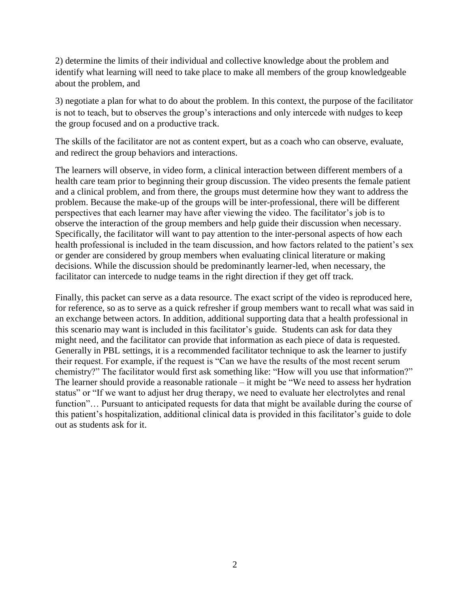2) determine the limits of their individual and collective knowledge about the problem and identify what learning will need to take place to make all members of the group knowledgeable about the problem, and

3) negotiate a plan for what to do about the problem. In this context, the purpose of the facilitator is not to teach, but to observes the group's interactions and only intercede with nudges to keep the group focused and on a productive track.

The skills of the facilitator are not as content expert, but as a coach who can observe, evaluate, and redirect the group behaviors and interactions.

The learners will observe, in video form, a clinical interaction between different members of a health care team prior to beginning their group discussion. The video presents the female patient and a clinical problem, and from there, the groups must determine how they want to address the problem. Because the make-up of the groups will be inter-professional, there will be different perspectives that each learner may have after viewing the video. The facilitator's job is to observe the interaction of the group members and help guide their discussion when necessary. Specifically, the facilitator will want to pay attention to the inter-personal aspects of how each health professional is included in the team discussion, and how factors related to the patient's sex or gender are considered by group members when evaluating clinical literature or making decisions. While the discussion should be predominantly learner-led, when necessary, the facilitator can intercede to nudge teams in the right direction if they get off track.

Finally, this packet can serve as a data resource. The exact script of the video is reproduced here, for reference, so as to serve as a quick refresher if group members want to recall what was said in an exchange between actors. In addition, additional supporting data that a health professional in this scenario may want is included in this facilitator's guide. Students can ask for data they might need, and the facilitator can provide that information as each piece of data is requested. Generally in PBL settings, it is a recommended facilitator technique to ask the learner to justify their request. For example, if the request is "Can we have the results of the most recent serum chemistry?" The facilitator would first ask something like: "How will you use that information?" The learner should provide a reasonable rationale – it might be "We need to assess her hydration status" or "If we want to adjust her drug therapy, we need to evaluate her electrolytes and renal function"... Pursuant to anticipated requests for data that might be available during the course of this patient's hospitalization, additional clinical data is provided in this facilitator's guide to dole out as students ask for it.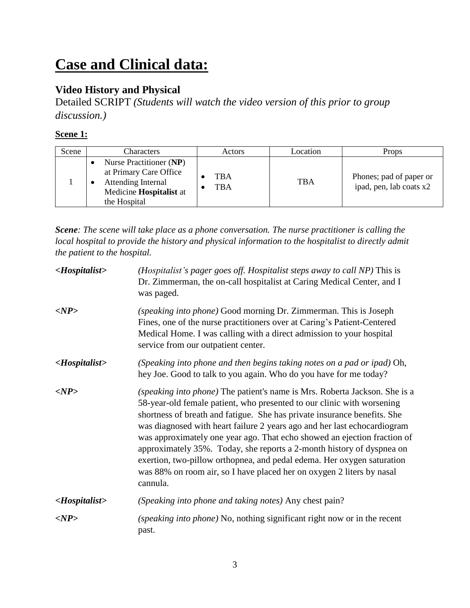# **Case and Clinical data:**

# **Video History and Physical**

Detailed SCRIPT *(Students will watch the video version of this prior to group discussion.)*

# **Scene 1:**

| Scene | Characters                                                                                                         | Actors            | Location   | Props                                              |
|-------|--------------------------------------------------------------------------------------------------------------------|-------------------|------------|----------------------------------------------------|
|       | Nurse Practitioner (NP)<br>at Primary Care Office<br>Attending Internal<br>Medicine Hospitalist at<br>the Hospital | TBA<br><b>TBA</b> | <b>TBA</b> | Phones; pad of paper or<br>ipad, pen, lab coats x2 |

*Scene: The scene will take place as a phone conversation. The nurse practitioner is calling the local hospital to provide the history and physical information to the hospitalist to directly admit the patient to the hospital.* 

| $\langle Hospitalist\rangle$ | (Hospitalist's pager goes off. Hospitalist steps away to call NP) This is<br>Dr. Zimmerman, the on-call hospitalist at Caring Medical Center, and I<br>was paged.                                                                                                                                                                                                                                                                                                                                                                                                                                                                |
|------------------------------|----------------------------------------------------------------------------------------------------------------------------------------------------------------------------------------------------------------------------------------------------------------------------------------------------------------------------------------------------------------------------------------------------------------------------------------------------------------------------------------------------------------------------------------------------------------------------------------------------------------------------------|
| $<\!\!NP\!\!>$               | (speaking into phone) Good morning Dr. Zimmerman. This is Joseph<br>Fines, one of the nurse practitioners over at Caring's Patient-Centered<br>Medical Home. I was calling with a direct admission to your hospital<br>service from our outpatient center.                                                                                                                                                                                                                                                                                                                                                                       |
| $\langle Hospitalist\rangle$ | (Speaking into phone and then begins taking notes on a pad or ipad) Oh,<br>hey Joe. Good to talk to you again. Who do you have for me today?                                                                                                                                                                                                                                                                                                                                                                                                                                                                                     |
| $<\!\!NP\!\!>$               | (speaking into phone) The patient's name is Mrs. Roberta Jackson. She is a<br>58-year-old female patient, who presented to our clinic with worsening<br>shortness of breath and fatigue. She has private insurance benefits. She<br>was diagnosed with heart failure 2 years ago and her last echocardiogram<br>was approximately one year ago. That echo showed an ejection fraction of<br>approximately 35%. Today, she reports a 2-month history of dyspnea on<br>exertion, two-pillow orthopnea, and pedal edema. Her oxygen saturation<br>was 88% on room air, so I have placed her on oxygen 2 liters by nasal<br>cannula. |
| $\langle Hospitalist\rangle$ | (Speaking into phone and taking notes) Any chest pain?                                                                                                                                                                                                                                                                                                                                                                                                                                                                                                                                                                           |
| $<\!\!NP\!\!>$               | (speaking into phone) No, nothing significant right now or in the recent<br>past.                                                                                                                                                                                                                                                                                                                                                                                                                                                                                                                                                |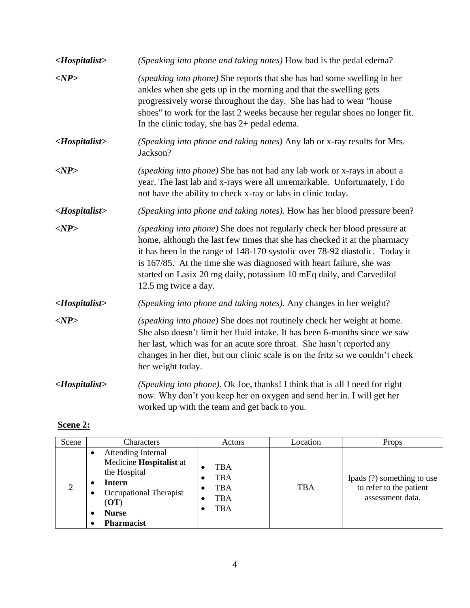| <hospitalist></hospitalist>  | (Speaking into phone and taking notes) How bad is the pedal edema?                                                                                                                                                                                                                                                                                                                                           |
|------------------------------|--------------------------------------------------------------------------------------------------------------------------------------------------------------------------------------------------------------------------------------------------------------------------------------------------------------------------------------------------------------------------------------------------------------|
| $<\!\!NP\!\!>$               | (speaking into phone) She reports that she has had some swelling in her<br>ankles when she gets up in the morning and that the swelling gets<br>progressively worse throughout the day. She has had to wear "house<br>shoes" to work for the last 2 weeks because her regular shoes no longer fit.<br>In the clinic today, she has $2+$ pedal edema.                                                         |
| <hospitalist></hospitalist>  | (Speaking into phone and taking notes) Any lab or x-ray results for Mrs.<br>Jackson?                                                                                                                                                                                                                                                                                                                         |
| $<\!\!NP\!\!>$               | (speaking into phone) She has not had any lab work or x-rays in about a<br>year. The last lab and x-rays were all unremarkable. Unfortunately, I do<br>not have the ability to check x-ray or labs in clinic today.                                                                                                                                                                                          |
| <hospitalist></hospitalist>  | (Speaking into phone and taking notes). How has her blood pressure been?                                                                                                                                                                                                                                                                                                                                     |
| $<\!\!NP\!\!$                | (speaking into phone) She does not regularly check her blood pressure at<br>home, although the last few times that she has checked it at the pharmacy<br>it has been in the range of 148-170 systolic over 78-92 diastolic. Today it<br>is 167/85. At the time she was diagnosed with heart failure, she was<br>started on Lasix 20 mg daily, potassium 10 mEq daily, and Carvedilol<br>12.5 mg twice a day. |
| $\langle Hospitalist\rangle$ | (Speaking into phone and taking notes). Any changes in her weight?                                                                                                                                                                                                                                                                                                                                           |
| $<\!\!NP\!\!>$               | (speaking into phone) She does not routinely check her weight at home.<br>She also doesn't limit her fluid intake. It has been 6-months since we saw<br>her last, which was for an acute sore throat. She hasn't reported any<br>changes in her diet, but our clinic scale is on the fritz so we couldn't check<br>her weight today.                                                                         |
| $<$ Hospitalist>             | (Speaking into phone). Ok Joe, thanks! I think that is all I need for right<br>now. Why don't you keep her on oxygen and send her in. I will get her<br>worked up with the team and get back to you.                                                                                                                                                                                                         |

# **Scene 2:**

| Scene | <b>Characters</b>                                                                                                                              | Actors                                                           | Location   | Props                                                                     |
|-------|------------------------------------------------------------------------------------------------------------------------------------------------|------------------------------------------------------------------|------------|---------------------------------------------------------------------------|
| 2     | Attending Internal<br>Medicine Hospitalist at<br>the Hospital<br>Intern<br>Occupational Therapist<br>(OT)<br><b>Nurse</b><br><b>Pharmacist</b> | <b>TBA</b><br><b>TBA</b><br><b>TBA</b><br>٠<br><b>TBA</b><br>TBA | <b>TBA</b> | Ipads (?) something to use<br>to refer to the patient<br>assessment data. |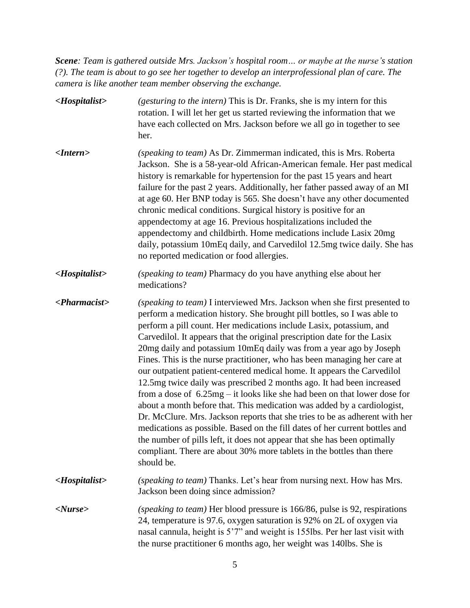*Scene: Team is gathered outside Mrs. Jackson's hospital room… or maybe at the nurse's station (?). The team is about to go see her together to develop an interprofessional plan of care. The camera is like another team member observing the exchange.* 

| $\langle Hospitalist\rangle$   | <i>(gesturing to the intern)</i> This is Dr. Franks, she is my intern for this<br>rotation. I will let her get us started reviewing the information that we<br>have each collected on Mrs. Jackson before we all go in together to see<br>her.                                                                                                                                                                                                                                                                                                                                                                                                                                                                                                                                                                                                                                                                                                                                                                                                                                                            |
|--------------------------------|-----------------------------------------------------------------------------------------------------------------------------------------------------------------------------------------------------------------------------------------------------------------------------------------------------------------------------------------------------------------------------------------------------------------------------------------------------------------------------------------------------------------------------------------------------------------------------------------------------------------------------------------------------------------------------------------------------------------------------------------------------------------------------------------------------------------------------------------------------------------------------------------------------------------------------------------------------------------------------------------------------------------------------------------------------------------------------------------------------------|
| $\langle$ <i>Intern</i>        | (speaking to team) As Dr. Zimmerman indicated, this is Mrs. Roberta<br>Jackson. She is a 58-year-old African-American female. Her past medical<br>history is remarkable for hypertension for the past 15 years and heart<br>failure for the past 2 years. Additionally, her father passed away of an MI<br>at age 60. Her BNP today is 565. She doesn't have any other documented<br>chronic medical conditions. Surgical history is positive for an<br>appendectomy at age 16. Previous hospitalizations included the<br>appendectomy and childbirth. Home medications include Lasix 20mg<br>daily, potassium 10mEq daily, and Carvedilol 12.5mg twice daily. She has<br>no reported medication or food allergies.                                                                                                                                                                                                                                                                                                                                                                                       |
| $\langle Hospitalist\rangle$   | (speaking to team) Pharmacy do you have anything else about her<br>medications?                                                                                                                                                                                                                                                                                                                                                                                                                                                                                                                                                                                                                                                                                                                                                                                                                                                                                                                                                                                                                           |
| $\langle$ Pharmacist $\rangle$ | (speaking to team) I interviewed Mrs. Jackson when she first presented to<br>perform a medication history. She brought pill bottles, so I was able to<br>perform a pill count. Her medications include Lasix, potassium, and<br>Carvedilol. It appears that the original prescription date for the Lasix<br>20mg daily and potassium 10mEq daily was from a year ago by Joseph<br>Fines. This is the nurse practitioner, who has been managing her care at<br>our outpatient patient-centered medical home. It appears the Carvedilol<br>12.5mg twice daily was prescribed 2 months ago. It had been increased<br>from a dose of $6.25mg - it$ looks like she had been on that lower dose for<br>about a month before that. This medication was added by a cardiologist,<br>Dr. McClure. Mrs. Jackson reports that she tries to be as adherent with her<br>medications as possible. Based on the fill dates of her current bottles and<br>the number of pills left, it does not appear that she has been optimally<br>compliant. There are about 30% more tablets in the bottles than there<br>should be. |
| $\langle Hospitalist\rangle$   | (speaking to team) Thanks. Let's hear from nursing next. How has Mrs.<br>Jackson been doing since admission?                                                                                                                                                                                                                                                                                                                                                                                                                                                                                                                                                                                                                                                                                                                                                                                                                                                                                                                                                                                              |
| < Nurse>                       | (speaking to team) Her blood pressure is 166/86, pulse is 92, respirations<br>24, temperature is 97.6, oxygen saturation is 92% on 2L of oxygen via<br>nasal cannula, height is 5'7" and weight is 155lbs. Per her last visit with<br>the nurse practitioner 6 months ago, her weight was 140lbs. She is                                                                                                                                                                                                                                                                                                                                                                                                                                                                                                                                                                                                                                                                                                                                                                                                  |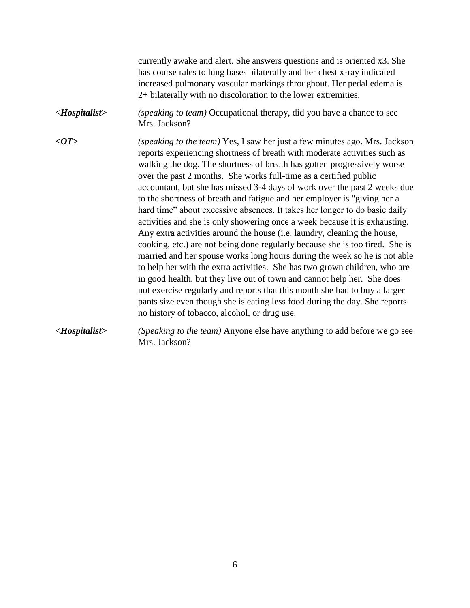currently awake and alert. She answers questions and is oriented x3. She has course rales to lung bases bilaterally and her chest x-ray indicated increased pulmonary vascular markings throughout. Her pedal edema is 2+ bilaterally with no discoloration to the lower extremities.

- *<Hospitalist> (speaking to team)* Occupational therapy, did you have a chance to see Mrs. Jackson?
- *<OT> (speaking to the team)* Yes, I saw her just a few minutes ago. Mrs. Jackson reports experiencing shortness of breath with moderate activities such as walking the dog. The shortness of breath has gotten progressively worse over the past 2 months. She works full-time as a certified public accountant, but she has missed 3-4 days of work over the past 2 weeks due to the shortness of breath and fatigue and her employer is "giving her a hard time" about excessive absences. It takes her longer to do basic daily activities and she is only showering once a week because it is exhausting. Any extra activities around the house (i.e. laundry, cleaning the house, cooking, etc.) are not being done regularly because she is too tired. She is married and her spouse works long hours during the week so he is not able to help her with the extra activities. She has two grown children, who are in good health, but they live out of town and cannot help her. She does not exercise regularly and reports that this month she had to buy a larger pants size even though she is eating less food during the day. She reports no history of tobacco, alcohol, or drug use.
- *<Hospitalist> (Speaking to the team)* Anyone else have anything to add before we go see Mrs. Jackson?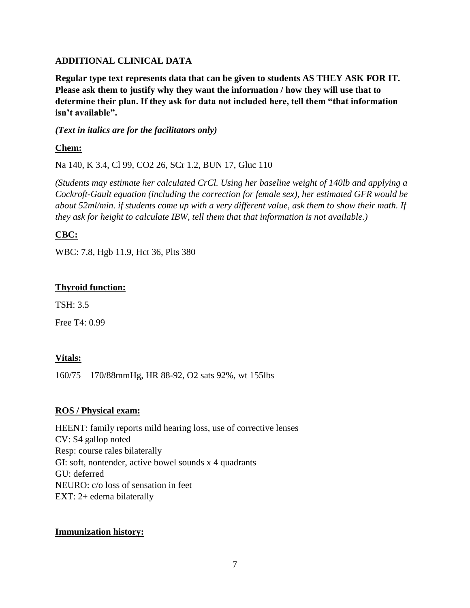### **ADDITIONAL CLINICAL DATA**

**Regular type text represents data that can be given to students AS THEY ASK FOR IT. Please ask them to justify why they want the information / how they will use that to determine their plan. If they ask for data not included here, tell them "that information isn't available".**

### *(Text in italics are for the facilitators only)*

# **Chem:**

Na 140, K 3.4, Cl 99, CO2 26, SCr 1.2, BUN 17, Gluc 110

*(Students may estimate her calculated CrCl. Using her baseline weight of 140lb and applying a Cockroft-Gault equation (including the correction for female sex), her estimated GFR would be about 52ml/min. if students come up with a very different value, ask them to show their math. If they ask for height to calculate IBW, tell them that that information is not available.)*

# **CBC:**

WBC: 7.8, Hgb 11.9, Hct 36, Plts 380

# **Thyroid function:**

TSH: 3.5

Free T4: 0.99

# **Vitals:**

160/75 – 170/88mmHg, HR 88-92, O2 sats 92%, wt 155lbs

# **ROS / Physical exam:**

HEENT: family reports mild hearing loss, use of corrective lenses CV: S4 gallop noted Resp: course rales bilaterally GI: soft, nontender, active bowel sounds x 4 quadrants GU: deferred NEURO: c/o loss of sensation in feet EXT: 2+ edema bilaterally

# **Immunization history:**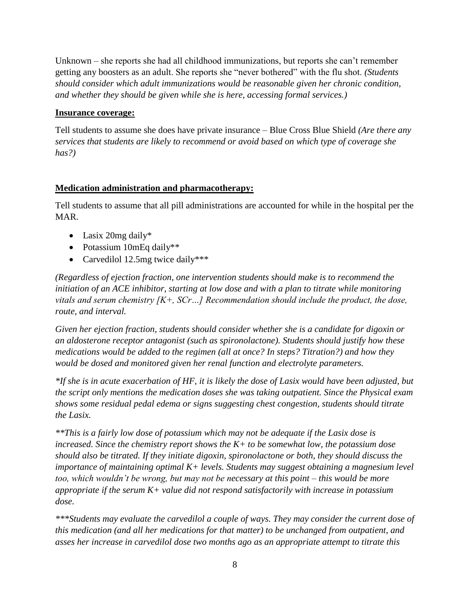Unknown – she reports she had all childhood immunizations, but reports she can't remember getting any boosters as an adult. She reports she "never bothered" with the flu shot. *(Students should consider which adult immunizations would be reasonable given her chronic condition, and whether they should be given while she is here, accessing formal services.)*

#### **Insurance coverage:**

Tell students to assume she does have private insurance – Blue Cross Blue Shield *(Are there any services that students are likely to recommend or avoid based on which type of coverage she has?)*

# **Medication administration and pharmacotherapy:**

Tell students to assume that all pill administrations are accounted for while in the hospital per the MAR.

- Lasix 20mg daily\*
- Potassium 10mEq daily\*\*
- Carvedilol 12.5mg twice daily\*\*\*

*(Regardless of ejection fraction, one intervention students should make is to recommend the initiation of an ACE inhibitor, starting at low dose and with a plan to titrate while monitoring vitals and serum chemistry [K+, SCr…] Recommendation should include the product, the dose, route, and interval.* 

*Given her ejection fraction, students should consider whether she is a candidate for digoxin or an aldosterone receptor antagonist (such as spironolactone). Students should justify how these medications would be added to the regimen (all at once? In steps? Titration?) and how they would be dosed and monitored given her renal function and electrolyte parameters.* 

*\*If she is in acute exacerbation of HF, it is likely the dose of Lasix would have been adjusted, but the script only mentions the medication doses she was taking outpatient. Since the Physical exam shows some residual pedal edema or signs suggesting chest congestion, students should titrate the Lasix.* 

*\*\*This is a fairly low dose of potassium which may not be adequate if the Lasix dose is increased. Since the chemistry report shows the K+ to be somewhat low, the potassium dose should also be titrated. If they initiate digoxin, spironolactone or both, they should discuss the importance of maintaining optimal K+ levels. Students may suggest obtaining a magnesium level too, which wouldn't be wrong, but may not be necessary at this point – this would be more appropriate if the serum K+ value did not respond satisfactorily with increase in potassium dose.* 

*\*\*\*Students may evaluate the carvedilol a couple of ways. They may consider the current dose of this medication (and all her medications for that matter) to be unchanged from outpatient, and asses her increase in carvedilol dose two months ago as an appropriate attempt to titrate this*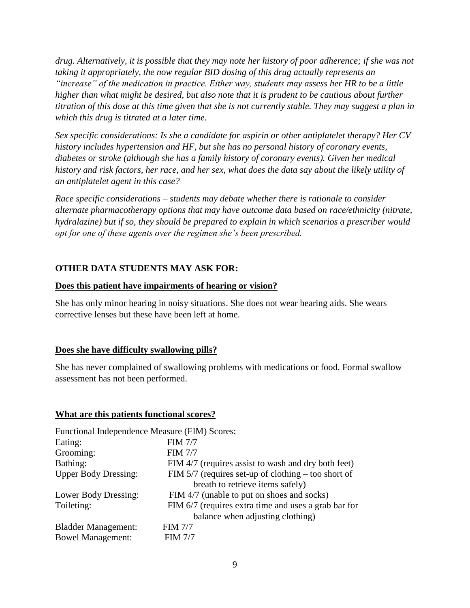*drug. Alternatively, it is possible that they may note her history of poor adherence; if she was not taking it appropriately, the now regular BID dosing of this drug actually represents an "increase" of the medication in practice. Either way, students may assess her HR to be a little higher than what might be desired, but also note that it is prudent to be cautious about further titration of this dose at this time given that she is not currently stable. They may suggest a plan in which this drug is titrated at a later time.*

*Sex specific considerations: Is she a candidate for aspirin or other antiplatelet therapy? Her CV history includes hypertension and HF, but she has no personal history of coronary events, diabetes or stroke (although she has a family history of coronary events). Given her medical history and risk factors, her race, and her sex, what does the data say about the likely utility of an antiplatelet agent in this case?*

*Race specific considerations – students may debate whether there is rationale to consider alternate pharmacotherapy options that may have outcome data based on race/ethnicity (nitrate, hydralazine) but if so, they should be prepared to explain in which scenarios a prescriber would opt for one of these agents over the regimen she's been prescribed.* 

# **OTHER DATA STUDENTS MAY ASK FOR:**

#### **Does this patient have impairments of hearing or vision?**

She has only minor hearing in noisy situations. She does not wear hearing aids. She wears corrective lenses but these have been left at home.

#### **Does she have difficulty swallowing pills?**

She has never complained of swallowing problems with medications or food. Formal swallow assessment has not been performed.

#### **What are this patients functional scores?**

| Functional Independence Measure (FIM) Scores: |                                                       |
|-----------------------------------------------|-------------------------------------------------------|
| Eating:                                       | <b>FIM 7/7</b>                                        |
| Grooming:                                     | <b>FIM 7/7</b>                                        |
| Bathing:                                      | FIM 4/7 (requires assist to wash and dry both feet)   |
| <b>Upper Body Dressing:</b>                   | FIM $5/7$ (requires set-up of clothing – too short of |
|                                               | breath to retrieve items safely)                      |
| Lower Body Dressing:                          | FIM 4/7 (unable to put on shoes and socks)            |
| Toileting:                                    | FIM 6/7 (requires extra time and uses a grab bar for  |
|                                               | balance when adjusting clothing)                      |
| <b>Bladder Management:</b>                    | <b>FIM 7/7</b>                                        |
| <b>Bowel Management:</b>                      | <b>FIM 7/7</b>                                        |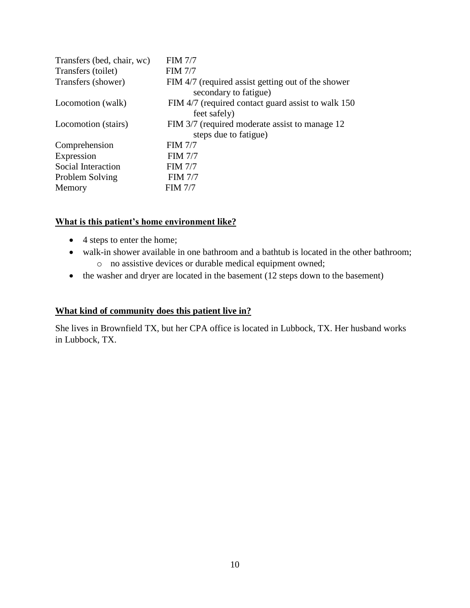| Transfers (bed, chair, wc) | <b>FIM 7/7</b>                                                              |
|----------------------------|-----------------------------------------------------------------------------|
| Transfers (toilet)         | <b>FIM 7/7</b>                                                              |
| Transfers (shower)         | FIM 4/7 (required assist getting out of the shower<br>secondary to fatigue) |
| Locomotion (walk)          | FIM 4/7 (required contact guard assist to walk 150)<br>feet safely)         |
| Locomotion (stairs)        | FIM 3/7 (required moderate assist to manage 12)<br>steps due to fatigue)    |
| Comprehension              | <b>FIM 7/7</b>                                                              |
| Expression                 | <b>FIM 7/7</b>                                                              |
| Social Interaction         | <b>FIM 7/7</b>                                                              |
| Problem Solving            | <b>FIM 7/7</b>                                                              |
| Memory                     | <b>FIM 7/7</b>                                                              |

#### **What is this patient's home environment like?**

- 4 steps to enter the home;
- walk-in shower available in one bathroom and a bathtub is located in the other bathroom; o no assistive devices or durable medical equipment owned;
- the washer and dryer are located in the basement (12 steps down to the basement)

#### **What kind of community does this patient live in?**

She lives in Brownfield TX, but her CPA office is located in Lubbock, TX. Her husband works in Lubbock, TX.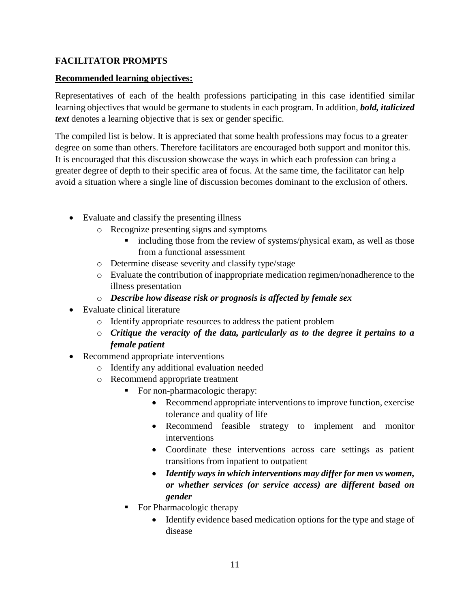# **FACILITATOR PROMPTS**

#### **Recommended learning objectives:**

Representatives of each of the health professions participating in this case identified similar learning objectives that would be germane to students in each program. In addition, *bold, italicized text* denotes a learning objective that is sex or gender specific.

The compiled list is below. It is appreciated that some health professions may focus to a greater degree on some than others. Therefore facilitators are encouraged both support and monitor this. It is encouraged that this discussion showcase the ways in which each profession can bring a greater degree of depth to their specific area of focus. At the same time, the facilitator can help avoid a situation where a single line of discussion becomes dominant to the exclusion of others.

- Evaluate and classify the presenting illness
	- o Recognize presenting signs and symptoms
		- including those from the review of systems/physical exam, as well as those from a functional assessment
	- o Determine disease severity and classify type/stage
	- o Evaluate the contribution of inappropriate medication regimen/nonadherence to the illness presentation
	- o *Describe how disease risk or prognosis is affected by female sex*
- Evaluate clinical literature
	- o Identify appropriate resources to address the patient problem
	- o *Critique the veracity of the data, particularly as to the degree it pertains to a female patient*
- Recommend appropriate interventions
	- o Identify any additional evaluation needed
	- o Recommend appropriate treatment
		- For non-pharmacologic therapy:
			- Recommend appropriate interventions to improve function, exercise tolerance and quality of life
			- Recommend feasible strategy to implement and monitor interventions
			- Coordinate these interventions across care settings as patient transitions from inpatient to outpatient
			- *Identify ways in which interventions may differ for men vs women, or whether services (or service access) are different based on gender*
		- For Pharmacologic therapy
			- Identify evidence based medication options for the type and stage of disease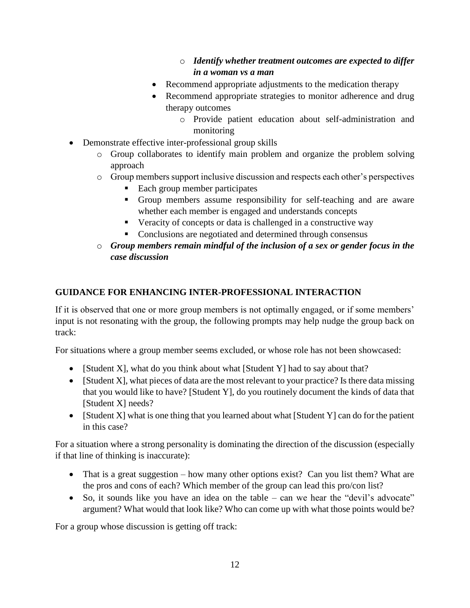# o *Identify whether treatment outcomes are expected to differ in a woman vs a man*

- Recommend appropriate adjustments to the medication therapy
- Recommend appropriate strategies to monitor adherence and drug therapy outcomes
	- o Provide patient education about self-administration and monitoring
- Demonstrate effective inter-professional group skills
	- o Group collaborates to identify main problem and organize the problem solving approach
	- o Group members support inclusive discussion and respects each other's perspectives
		- Each group member participates
		- Group members assume responsibility for self-teaching and are aware whether each member is engaged and understands concepts
		- Veracity of concepts or data is challenged in a constructive way
		- Conclusions are negotiated and determined through consensus
	- o *Group members remain mindful of the inclusion of a sex or gender focus in the case discussion*

# **GUIDANCE FOR ENHANCING INTER-PROFESSIONAL INTERACTION**

If it is observed that one or more group members is not optimally engaged, or if some members' input is not resonating with the group, the following prompts may help nudge the group back on track:

For situations where a group member seems excluded, or whose role has not been showcased:

- [Student X], what do you think about what [Student Y] had to say about that?
- $\bullet$  [Student X], what pieces of data are the most relevant to your practice? Is there data missing that you would like to have? [Student Y], do you routinely document the kinds of data that [Student X] needs?
- [Student X] what is one thing that you learned about what [Student Y] can do for the patient in this case?

For a situation where a strong personality is dominating the direction of the discussion (especially if that line of thinking is inaccurate):

- That is a great suggestion how many other options exist? Can you list them? What are the pros and cons of each? Which member of the group can lead this pro/con list?
- So, it sounds like you have an idea on the table can we hear the "devil's advocate" argument? What would that look like? Who can come up with what those points would be?

For a group whose discussion is getting off track: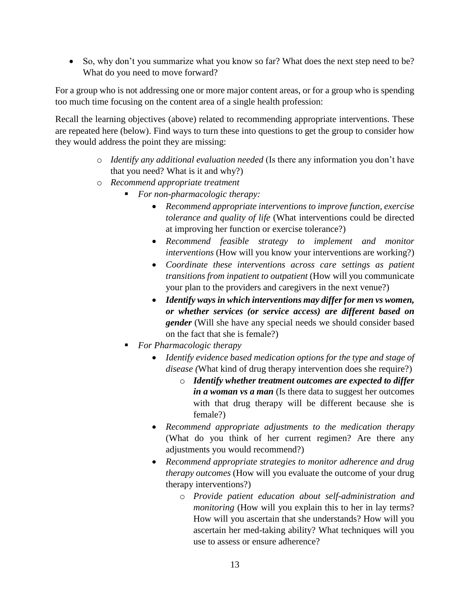• So, why don't you summarize what you know so far? What does the next step need to be? What do you need to move forward?

For a group who is not addressing one or more major content areas, or for a group who is spending too much time focusing on the content area of a single health profession:

Recall the learning objectives (above) related to recommending appropriate interventions. These are repeated here (below). Find ways to turn these into questions to get the group to consider how they would address the point they are missing:

- o *Identify any additional evaluation needed* (Is there any information you don't have that you need? What is it and why?)
- o *Recommend appropriate treatment*
	- *For non-pharmacologic therapy:*
		- *Recommend appropriate interventions to improve function, exercise tolerance and quality of life* (What interventions could be directed at improving her function or exercise tolerance?)
		- *Recommend feasible strategy to implement and monitor interventions* (How will you know your interventions are working?)
		- *Coordinate these interventions across care settings as patient transitions from inpatient to outpatient* (How will you communicate your plan to the providers and caregivers in the next venue?)
		- *Identify ways in which interventions may differ for men vs women, or whether services (or service access) are different based on gender* (Will she have any special needs we should consider based on the fact that she is female?)
	- *For Pharmacologic therapy*
		- *Identify evidence based medication options for the type and stage of disease (*What kind of drug therapy intervention does she require?)
			- o *Identify whether treatment outcomes are expected to differ in a woman vs a man* (Is there data to suggest her outcomes with that drug therapy will be different because she is female?)
		- *Recommend appropriate adjustments to the medication therapy*  (What do you think of her current regimen? Are there any adjustments you would recommend?)
		- *Recommend appropriate strategies to monitor adherence and drug therapy outcomes* (How will you evaluate the outcome of your drug therapy interventions?)
			- o *Provide patient education about self-administration and monitoring* (How will you explain this to her in lay terms? How will you ascertain that she understands? How will you ascertain her med-taking ability? What techniques will you use to assess or ensure adherence?